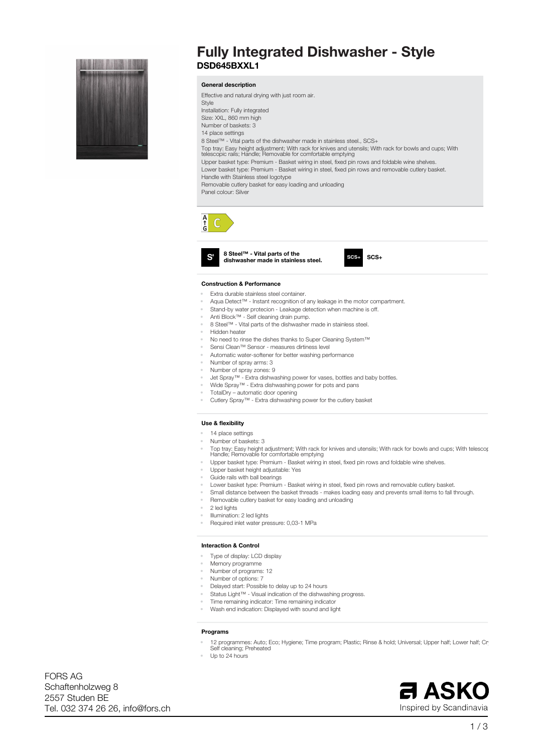

# **Fully Integrated Dishwasher - Style DSD645BXXL1**

# **General description**

**Effective and natural drying with just room air. Style Installation: Fully integrated Size: XXL, 860 mm high Number of baskets: 3 14 place settings 8 Steel™ - Vital parts of the dishwasher made in stainless steel., SCS+** Top tray: Easy height adjustment; With rack for knives and utensils; With rack for bowls and cups; With<br>telescopic rails; Handle; Removable for comfortable emptying **Upper basket type: Premium - Basket wiring in steel, fixed pin rows and foldable wine shelves. Lower basket type: Premium - Basket wiring in steel, fixed pin rows and removable cutlery basket. Handle with Stainless steel logotype Removable cutlery basket for easy loading and unloading Panel colour: Silver**



 $\mathbf{S}$ 

**8 Steel™ - Vital parts of the dishwasher made in stainless steel. SCS+**

## **Construction & Performance**

- **• Extra durable stainless steel container.**
- **• Aqua Detect™ - Instant recognition of any leakage in the motor compartment.**
- **• Stand-by water protecion - Leakage detection when machine is off.**
- **• Anti Block™ - Self cleaning drain pump.**
- **• 8 Steel™ - Vital parts of the dishwasher made in stainless steel.**
- **• Hidden heater**
- **• No need to rinse the dishes thanks to Super Cleaning System™**
- **• Sensi Clean™ Sensor - measures dirtiness level**
- **• Automatic water-softener for better washing performance**
- **• Number of spray arms: 3**
- **• Number of spray zones: 9**
- **• Jet Spray™ - Extra dishwashing power for vases, bottles and baby bottles.**
- **• Wide Spray™ - Extra dishwashing power for pots and pans**
- **• TotalDry – automatic door opening**
- **• Cutlery Spray™ - Extra dishwashing power for the cutlery basket**

## **Use & flexibility**

- **• 14 place settings**
- **• Number of baskets: 3**
- Top tray: Easy height adjustment; With rack for knives and utensils; With rack for bowls and cups; With telescor<br>Handle; Removable for comfortable emptying
- **• Upper basket type: Premium - Basket wiring in steel, fixed pin rows and foldable wine shelves.**
- **• Upper basket height adjustable: Yes**
- **• Guide rails with ball bearings**
- **• Lower basket type: Premium - Basket wiring in steel, fixed pin rows and removable cutlery basket.**
- Small distance between the basket threads makes loading easy and prevents small items to fall through.
- **• Removable cutlery basket for easy loading and unloading**
- **• 2 led lights**
- **• Illumination: 2 led lights**
- **• Required inlet water pressure: 0,03-1 MPa**

#### **Interaction & Control**

- **• Type of display: LCD display**
- **• Memory programme**
- **• Number of programs: 12**
- **• Number of options: 7**
- **• Delayed start: Possible to delay up to 24 hours**
- **• Status Light™ - Visual indication of the dishwashing progress.**
- **• Time remaining indicator: Time remaining indicator**
- **• Wash end indication: Displayed with sound and light**

# **Programs**

- 12 programmes: Auto; Eco; Hygiene; Time program; Plastic; Rinse & hold; Universal; Upper half; Lower half; Cr **Self cleaning; Preheated**
- **• Up to 24 hours**

**Tel. 032 374 26 26, info@fors.ch 2557 Studen BE Schaftenholzweg 8 FORS AG**

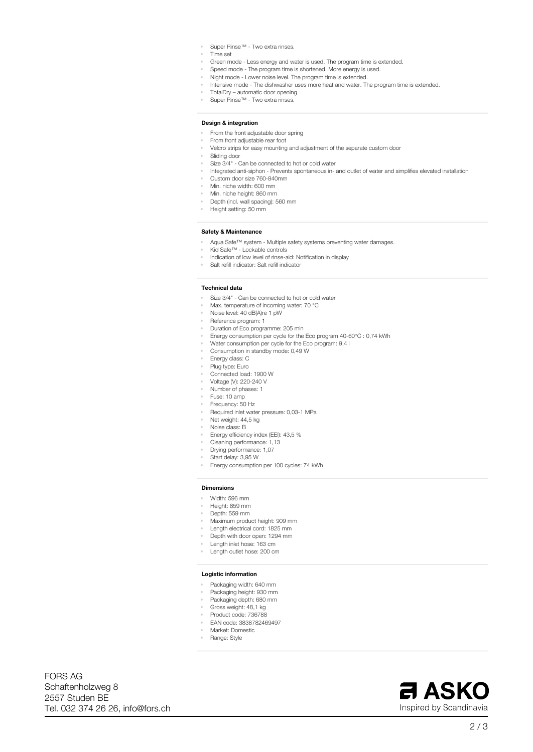- **• Super Rinse™ - Two extra rinses.**
- **• Time set**
- **• Green mode - Less energy and water is used. The program time is extended.**
- **• Speed mode - The program time is shortened. More energy is used.**
- **• Night mode - Lower noise level. The program time is extended.**
- **• Intensive mode - The dishwasher uses more heat and water. The program time is extended.**
- **• TotalDry – automatic door opening**
- **• Super Rinse™ - Two extra rinses.**

# **Design & integration**

- **• From the front adjustable door spring**
- **• From front adjustable rear foot**
- **• Velcro strips for easy mounting and adjustment of the separate custom door**
- **• Sliding door**
- **• Size 3/4" - Can be connected to hot or cold water**
- **• Integrated anti-siphon - Prevents spontaneous in- and outlet of water and simplifies elevated installation**
- **• Custom door size 760-840mm**
- **• Min. niche width: 600 mm**
- **• Min. niche height: 860 mm**
- **• Depth (incl. wall spacing): 560 mm**
- **• Height setting: 50 mm**

## **Safety & Maintenance**

- **• Aqua Safe™ system - Multiple safety systems preventing water damages.**
- **• Kid Safe™ - Lockable controls**
- **• Indication of low level of rinse-aid: Notification in display**
- **• Salt refill indicator: Salt refill indicator**

#### **Technical data**

- **• Size 3/4" - Can be connected to hot or cold water**
- **• Max. temperature of incoming water: 70 °C**
- **• Noise level: 40 dB(A)re 1 pW**
- **• Reference program: 1**
- **• Duration of Eco programme: 205 min**
- **• Energy consumption per cycle for the Eco program 40-60°C : 0,74 kWh**
- **• Water consumption per cycle for the Eco program: 9,4 l**
- **• Consumption in standby mode: 0,49 W**
- **• Energy class: C**
- **• Plug type: Euro**
- **• Connected load: 1900 W**
- **• Voltage (V): 220-240 V**
- **• Number of phases: 1**
- **• Fuse: 10 amp**
- **• Frequency: 50 Hz**
- **• Required inlet water pressure: 0,03-1 MPa**
- **• Net weight: 44,5 kg**
- **• Noise class: B**
- **• Energy efficiency index (EEI): 43,5 %**
- **• Cleaning performance: 1,13**
- **• Drying performance: 1,07**
- **• Start delay: 3,95 W**
- **• Energy consumption per 100 cycles: 74 kWh**

## **Dimensions**

- **• Width: 596 mm**
- **• Height: 859 mm**
- **• Depth: 559 mm**
- **• Maximum product height: 909 mm**
- **• Length electrical cord: 1825 mm**
- **• Depth with door open: 1294 mm**
- **• Length inlet hose: 163 cm**
- **• Length outlet hose: 200 cm**

# **Logistic information**

- **• Packaging width: 640 mm**
- **• Packaging height: 930 mm**
- **• Packaging depth: 680 mm**
- **• Gross weight: 48,1 kg**
- **• Product code: 736788**
- **• EAN code: 3838782469497**
- **• Market: Domestic**
- **• Range: Style**

**Tel. 032 374 26 26, info@fors.ch 2557 Studen BE Schaftenholzweg 8 FORS AG**